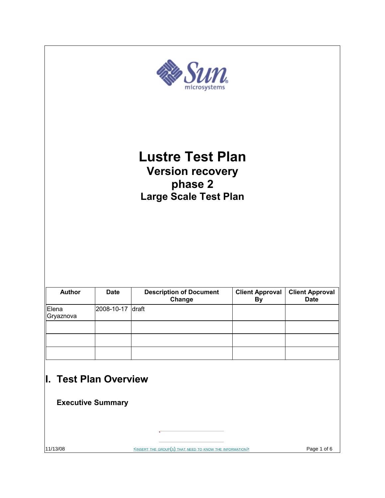| $\mathbf{y}$<br>$\bm{m}_\mathrm{e}$<br>microsyster<br><b>Lustre Test Plan</b><br><b>Version recovery</b><br>phase 2<br><b>Large Scale Test Plan</b> |                          |  |  |  |
|-----------------------------------------------------------------------------------------------------------------------------------------------------|--------------------------|--|--|--|
|                                                                                                                                                     |                          |  |  |  |
| Elena<br>Gryaznova                                                                                                                                  | 2008-10-17 draft         |  |  |  |
|                                                                                                                                                     |                          |  |  |  |
|                                                                                                                                                     |                          |  |  |  |
| I. Test Plan Overview                                                                                                                               | <b>Executive Summary</b> |  |  |  |

11/13/08 SINSERT THE GROUP(S) THAT NEED TO KNOW THE INFORMATIONS Page 1 of 6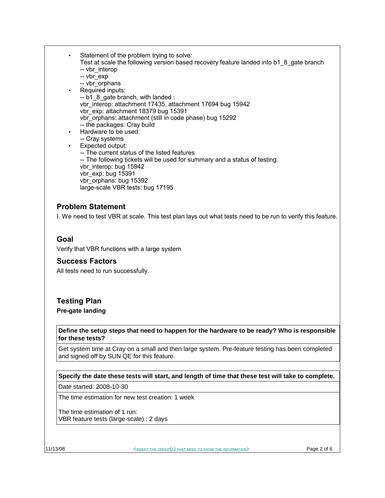- Statement of the problem trying to solve: Test at scale the following version based recovery feature landed into b1\_8\_gate branch -- vbr interop -- vbr\_exp -- vbr\_orphans Required inputs:
- -- b1 8 gate branch, with landed : vbr interop: attachment 17435, attachment 17694 bug 15942 vbr\_exp: attachment 18379 bug 15391 vbr\_orphans: attachment (still in code phase) bug 15292 -- the packages: Cray build
- Hardware to be used:

vbr orphans: bug 15392

large-scale VBR tests: bug 17195

- -- Cray systems
- Expected output: -- The current status of the listed features -- The following tickets will be used for summary and a status of testing. vbr\_interop: bug 15942 vbr\_exp: bug 15391
- **Problem Statement**

I. We need to test VBR at scale. This test plan lays out what tests need to be run to verify this feature.

## **Goal**

Verify that VBR functions with a large system

## **Success Factors**

All tests need to run successfully.

## **Testing Plan**

**Pre-gate landing**

**Define the setup steps that need to happen for the hardware to be ready? Who is responsible for these tests?**

Get system time at Cray on a small and then large system. Pre-feature testing has been completed and signed off by SUN QE for this feature.

### **Specify the date these tests will start, and length of time that these test will take to complete.**

Date started: 2008-10-30

The time estimation for new test creation: 1 week

The time estimation of 1 run: VBR feature tests (large-scale) : 2 days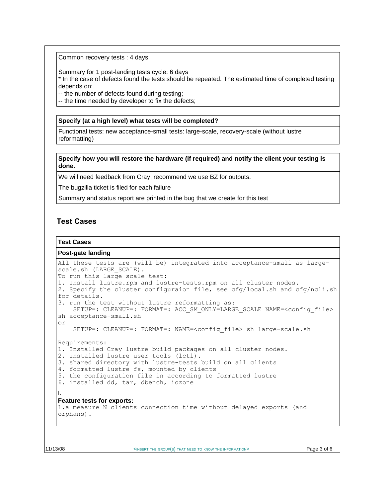Common recovery tests : 4 days

Summary for 1 post-landing tests cycle: 6 days

\* In the case of defects found the tests should be repeated. The estimated time of completed testing depends on:

-- the number of defects found during testing;

-- the time needed by developer to fix the defects;

#### **Specify (at a high level) what tests will be completed?**

Functional tests: new acceptance-small tests: large-scale, recovery-scale (without lustre reformatting)

**Specify how you will restore the hardware (if required) and notify the client your testing is done.**

We will need feedback from Cray, recommend we use BZ for outputs.

The bugzilla ticket is filed for each failure

Summary and status report are printed in the bug that we create for this test

## **Test Cases**

#### **Test Cases**

#### **Post-gate landing**

```
All these tests are (will be) integrated into acceptance-small as large-
scale.sh (LARGE SCALE).
To run this large scale test:
1. Install lustre.rpm and lustre-tests.rpm on all cluster nodes.
2. Specify the cluster configuraion file, see cfg/local.sh and cfg/ncli.sh
for details.
3. run the test without lustre reformatting as:
   SETUP=: CLEANUP=: FORMAT=: ACC SM_ONLY=LARGE_SCALE NAME=<config_file>
sh acceptance-small.sh 
or
    SETUP=: CLEANUP=: FORMAT=: NAME=<config_file> sh large-scale.sh
Requirements:
1. Installed Cray lustre build packages on all cluster nodes.
2. installed lustre user tools (lctl). 
3. shared directory with lustre-tests build on all clients
4. formatted lustre fs, mounted by clients
5. the configuration file in according to formatted lustre
6. installed dd, tar, dbench, iozone
I. 
Feature tests for exports:
1.a measure N clients connection time without delayed exports (and
orphans).
```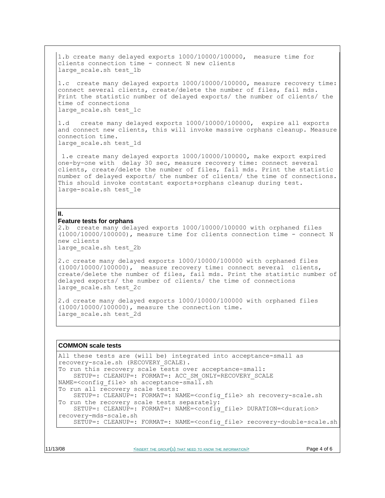1.b create many delayed exports 1000/10000/100000, measure time for clients connection time - connect N new clients large scale.sh test 1b

1.c create many delayed exports 1000/10000/100000, measure recovery time: connect several clients, create/delete the number of files, fail mds. Print the statistic number of delayed exports/ the number of clients/ the time of connections large\_scale.sh test\_1c

1.d create many delayed exports 1000/10000/100000, expire all exports and connect new clients, this will invoke massive orphans cleanup. Measure connection time. large\_scale.sh test\_1d

 1.e create many delayed exports 1000/10000/100000, make export expired one-by-one with delay 30 sec, measure recovery time: connect several clients, create/delete the number of files, fail mds. Print the statistic number of delayed exports/ the number of clients/ the time of connections. This should invoke contstant exports+orphans cleanup during test. large-scale.sh test\_1e

#### **II.**

#### **Feature tests for orphans**

2.b create many delayed exports 1000/10000/100000 with orphaned files (1000/10000/100000), measure time for clients connection time - connect N new clients large scale.sh test 2b

2.c create many delayed exports 1000/10000/100000 with orphaned files (1000/10000/100000), measure recovery time: connect several clients, create/delete the number of files, fail mds. Print the statistic number of delayed exports/ the number of clients/ the time of connections large\_scale.sh test\_2c

2.d create many delayed exports 1000/10000/100000 with orphaned files (1000/10000/100000), measure the connection time. large scale.sh test 2d

#### **COMMON scale tests**

All these tests are (will be) integrated into acceptance-small as recovery-scale.sh (RECOVERY\_SCALE). To run this recovery scale tests over acceptance-small: SETUP=: CLEANUP=: FORMAT=: ACC\_SM\_ONLY=RECOVERY\_SCALE NAME=<config file> sh acceptance-small.sh To run all recovery scale tests: SETUP=: CLEANUP=: FORMAT=: NAME=<config\_file> sh recovery-scale.sh To run the recovery scale tests separately: SETUP=: CLEANUP=: FORMAT=: NAME=<config\_file> DURATION=<duration> recovery-mds-scale.sh SETUP=: CLEANUP=: FORMAT=: NAME=<config\_file> recovery-double-scale.sh

11/13/08 **EXECUTE:**  $\leq$ INSERT THE GROUP(S) THAT NEED TO KNOW THE INFORMATION> **Page 4 of 6**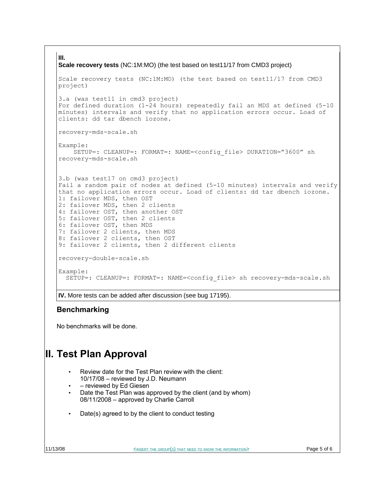#### **III.**

```
Scale recovery tests (NC:1M:MO) (the test based on test11/17 from CMD3 project)
Scale recovery tests (NC:1M:MO) (the test based on test11/17 from CMD3
project)
3.a (was test11 in cmd3 project)
For defined duration (1-24 hours) repeatedly fail an MDS at defined (5-10
minutes) intervals and verify that no application errors occur. Load of
clients: dd tar dbench iozone.
recovery-mds-scale.sh
Example:
    SETUP=: CLEANUP=: FORMAT=: NAME=<config_file> DURATION="3600" sh
recovery-mds-scale.sh
3.b (was test17 on cmd3 project)
Fail a random pair of nodes at defined (5-10 minutes) intervals and verify
that no application errors occur. Load of clients: dd tar dbench iozone.
1: failover MDS, then OST
2: failover MDS, then 2 clients
4: failover OST, then another OST
5: failover OST, then 2 clients
6: failover OST, then MDS
7: failover 2 clients, then MDS
8: failover 2 clients, then OST
9: failover 2 clients, then 2 different clients
recovery-double-scale.sh 
Example:
   SETUP=: CLEANUP=: FORMAT=: NAME=<config_file> sh recovery-mds-scale.sh
```
**IV.** More tests can be added after discussion (see bug 17195).

## **Benchmarking**

No benchmarks will be done.

# **II. Test Plan Approval**

- Review date for the Test Plan review with the client: 10/17/08 – reviewed by J.D. Neumann
- – reviewed by Ed Giesen
- Date the Test Plan was approved by the client (and by whom) 08/11/2008 – approved by Charlie Carroll
- Date(s) agreed to by the client to conduct testing